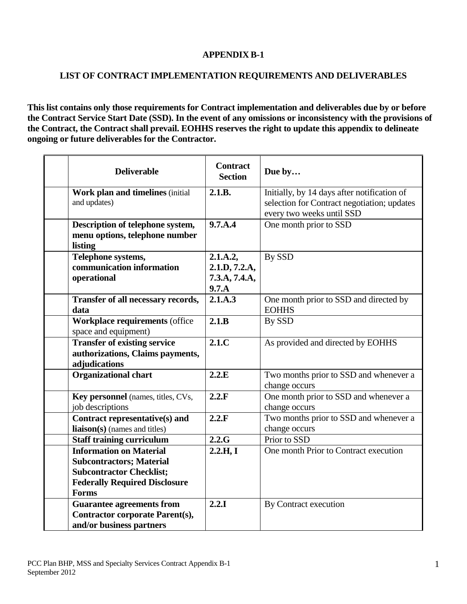## **APPENDIX B-1**

## **LIST OF CONTRACT IMPLEMENTATION REQUIREMENTS AND DELIVERABLES**

**This list contains only those requirements for Contract implementation and deliverables due by or before the Contract Service Start Date (SSD). In the event of any omissions or inconsistency with the provisions of the Contract, the Contract shall prevail. EOHHS reserves the right to update this appendix to delineate ongoing or future deliverables for the Contractor.**

| <b>Deliverable</b>                                                                                                                                           | <b>Contract</b><br><b>Section</b>                   | Due by                                                                                                                  |
|--------------------------------------------------------------------------------------------------------------------------------------------------------------|-----------------------------------------------------|-------------------------------------------------------------------------------------------------------------------------|
| Work plan and timelines (initial<br>and updates)                                                                                                             | 2.1.B.                                              | Initially, by 14 days after notification of<br>selection for Contract negotiation; updates<br>every two weeks until SSD |
| Description of telephone system,<br>menu options, telephone number<br>listing                                                                                | 9.7.A.4                                             | One month prior to SSD                                                                                                  |
| Telephone systems,<br>communication information<br>operational                                                                                               | 2.1.A.2,<br>2.1.D, 7.2.A,<br>7.3.A, 7.4.A,<br>9.7.A | By SSD                                                                                                                  |
| Transfer of all necessary records,<br>data                                                                                                                   | 2.1.A.3                                             | One month prior to SSD and directed by<br><b>EOHHS</b>                                                                  |
| <b>Workplace requirements (office</b><br>space and equipment)                                                                                                | 2.1.B                                               | By SSD                                                                                                                  |
| <b>Transfer of existing service</b><br>authorizations, Claims payments,<br>adjudications                                                                     | 2.1.C                                               | As provided and directed by EOHHS                                                                                       |
| <b>Organizational chart</b>                                                                                                                                  | 2.2.E                                               | Two months prior to SSD and whenever a<br>change occurs                                                                 |
| Key personnel (names, titles, CVs,<br>job descriptions                                                                                                       | 2.2.F                                               | One month prior to SSD and whenever a<br>change occurs                                                                  |
| Contract representative(s) and<br>liaison(s) (names and titles)                                                                                              | 2.2.F                                               | Two months prior to SSD and whenever a<br>change occurs                                                                 |
| <b>Staff training curriculum</b>                                                                                                                             | 2.2.G                                               | Prior to SSD                                                                                                            |
| <b>Information on Material</b><br><b>Subcontractors; Material</b><br><b>Subcontractor Checklist;</b><br><b>Federally Required Disclosure</b><br><b>Forms</b> | 2.2.H, I                                            | One month Prior to Contract execution                                                                                   |
| <b>Guarantee agreements from</b><br><b>Contractor corporate Parent(s),</b><br>and/or business partners                                                       | 2.2.1                                               | By Contract execution                                                                                                   |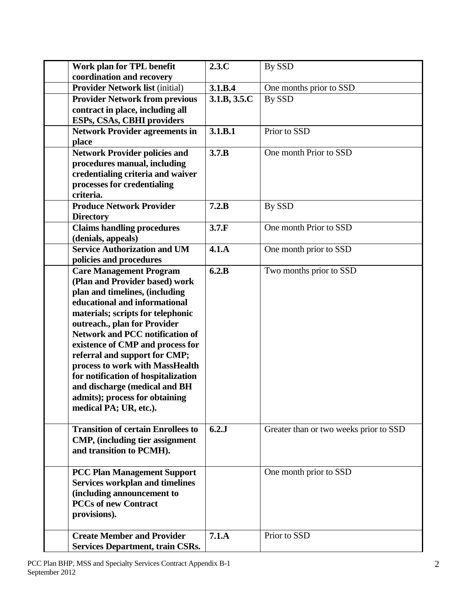| Work plan for TPL benefit                                       | 2.3.C        | By SSD                                 |
|-----------------------------------------------------------------|--------------|----------------------------------------|
| coordination and recovery                                       |              |                                        |
| <b>Provider Network list (initial)</b>                          | 3.1.B.4      | One months prior to SSD                |
| <b>Provider Network from previous</b>                           | 3.1.B, 3.5.C | <b>By SSD</b>                          |
| contract in place, including all                                |              |                                        |
| ESPs, CSAs, CBHI providers                                      |              |                                        |
| <b>Network Provider agreements in</b>                           | 3.1.B.1      | Prior to SSD                           |
| place                                                           |              |                                        |
| <b>Network Provider policies and</b>                            | 3.7.B        | One month Prior to SSD                 |
| procedures manual, including                                    |              |                                        |
| credentialing criteria and waiver                               |              |                                        |
| processes for credentialing<br>criteria.                        |              |                                        |
| <b>Produce Network Provider</b>                                 | 7.2.B        | By SSD                                 |
| <b>Directory</b>                                                |              |                                        |
| <b>Claims handling procedures</b>                               | 3.7.F        | One month Prior to SSD                 |
| (denials, appeals)                                              |              |                                        |
| <b>Service Authorization and UM</b>                             | 4.1.A        | One month prior to SSD                 |
| policies and procedures                                         |              |                                        |
| <b>Care Management Program</b>                                  | 6.2.B        | Two months prior to SSD                |
| (Plan and Provider based) work                                  |              |                                        |
| plan and timelines, (including                                  |              |                                        |
| educational and informational                                   |              |                                        |
| materials; scripts for telephonic                               |              |                                        |
| outreach., plan for Provider                                    |              |                                        |
| <b>Network and PCC notification of</b>                          |              |                                        |
| existence of CMP and process for                                |              |                                        |
| referral and support for CMP;                                   |              |                                        |
| process to work with MassHealth                                 |              |                                        |
| for notification of hospitalization                             |              |                                        |
| and discharge (medical and BH<br>admits); process for obtaining |              |                                        |
| medical PA; UR, etc.).                                          |              |                                        |
|                                                                 |              |                                        |
| <b>Transition of certain Enrollees to</b>                       | 6.2.J        | Greater than or two weeks prior to SSD |
| CMP, (including tier assignment                                 |              |                                        |
| and transition to PCMH).                                        |              |                                        |
|                                                                 |              |                                        |
| <b>PCC Plan Management Support</b>                              |              | One month prior to SSD                 |
| <b>Services workplan and timelines</b>                          |              |                                        |
| (including announcement to                                      |              |                                        |
| <b>PCCs of new Contract</b>                                     |              |                                        |
| provisions).                                                    |              |                                        |
| <b>Create Member and Provider</b>                               | 7.1.A        | Prior to SSD                           |
| <b>Services Department, train CSRs.</b>                         |              |                                        |
|                                                                 |              |                                        |